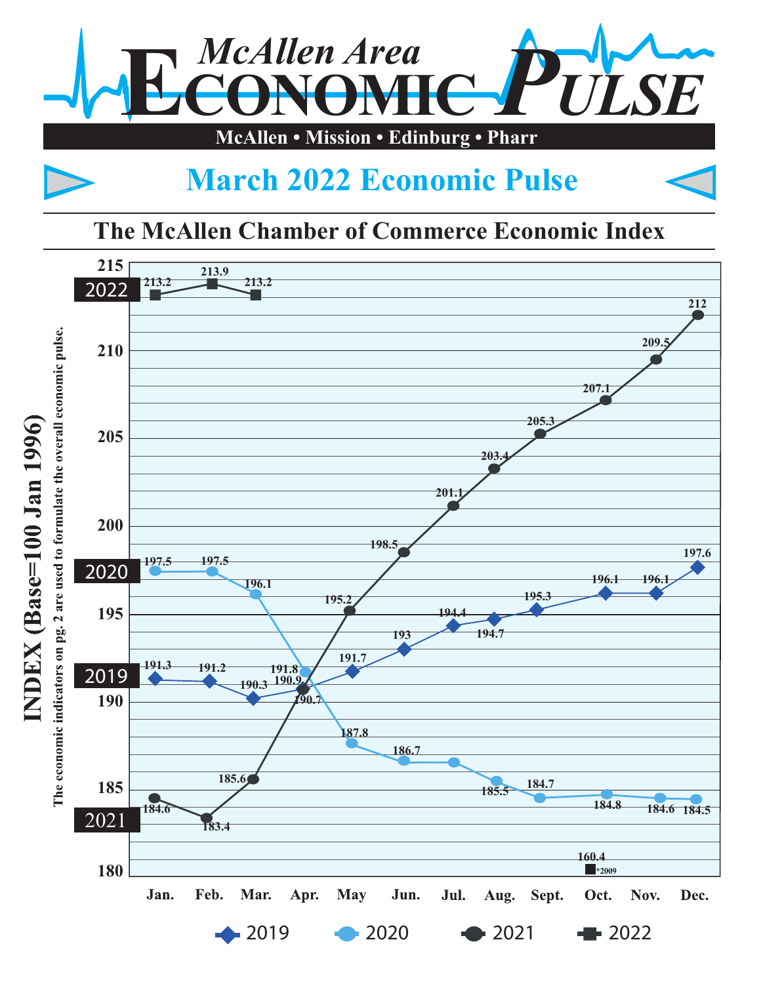

## **March 2022 Economic Pulse**

## **The McAllen Chamber of Commerce Economic Index**

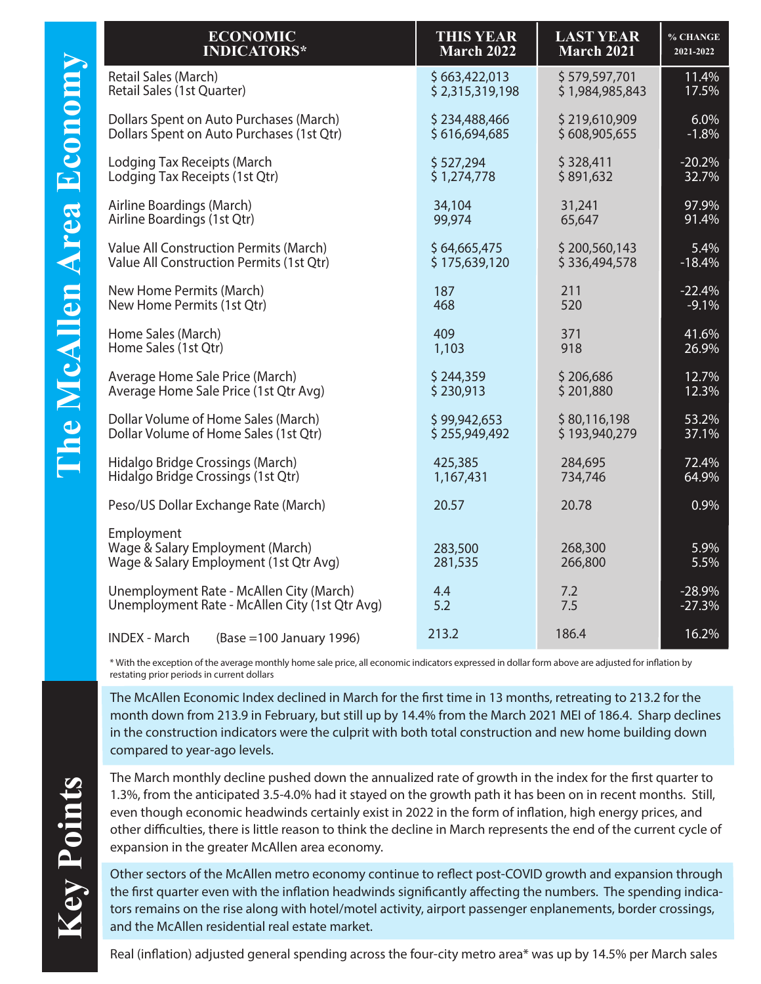| <b>ECONOMIC</b>                                                                          | <b>THIS YEAR</b>   | <b>LAST YEAR</b>   | % CHANGE     |
|------------------------------------------------------------------------------------------|--------------------|--------------------|--------------|
| <b>INDICATORS*</b>                                                                       | <b>March 2022</b>  | <b>March 2021</b>  | 2021-2022    |
| Retail Sales (March)                                                                     | \$663,422,013      | \$579,597,701      | 11.4%        |
| Retail Sales (1st Quarter)                                                               | \$2,315,319,198    | \$1,984,985,843    | 17.5%        |
| Dollars Spent on Auto Purchases (March)                                                  | \$234,488,466      | \$219,610,909      | 6.0%         |
| Dollars Spent on Auto Purchases (1st Qtr)                                                | \$616,694,685      | \$608,905,655      | $-1.8%$      |
| Lodging Tax Receipts (March                                                              | \$527,294          | \$328,411          | $-20.2%$     |
| Lodging Tax Receipts (1st Qtr)                                                           | \$1,274,778        | \$891,632          | 32.7%        |
| Airline Boardings (March)                                                                | 34,104             | 31,241             | 97.9%        |
| Airline Boardings (1st Qtr)                                                              | 99,974             | 65,647             | 91.4%        |
| Value All Construction Permits (March)                                                   | \$64,665,475       | \$200,560,143      | 5.4%         |
| Value All Construction Permits (1st Qtr)                                                 | \$175,639,120      | \$336,494,578      | $-18.4%$     |
| New Home Permits (March)                                                                 | 187                | 211                | $-22.4%$     |
| New Home Permits (1st Qtr)                                                               | 468                | 520                | $-9.1%$      |
| Home Sales (March)                                                                       | 409                | 371                | 41.6%        |
| Home Sales (1st Qtr)                                                                     | 1,103              | 918                | 26.9%        |
| Average Home Sale Price (March)                                                          | \$244,359          | \$206,686          | 12.7%        |
| Average Home Sale Price (1st Qtr Avg)                                                    | \$230,913          | \$201,880          | 12.3%        |
| Dollar Volume of Home Sales (March)                                                      | \$99,942,653       | \$80,116,198       | 53.2%        |
| Dollar Volume of Home Sales (1st Qtr)                                                    | \$255,949,492      | \$193,940,279      | 37.1%        |
| Hidalgo Bridge Crossings (March)                                                         | 425,385            | 284,695            | 72.4%        |
| Hidalgo Bridge Crossings (1st Qtr)                                                       | 1,167,431          | 734,746            | 64.9%        |
| Peso/US Dollar Exchange Rate (March)                                                     | 20.57              | 20.78              | 0.9%         |
| Employment<br>Wage & Salary Employment (March)<br>Wage & Salary Employment (1st Qtr Avq) | 283,500<br>281,535 | 268,300<br>266,800 | 5.9%<br>5.5% |
| Unemployment Rate - McAllen City (March)                                                 | 4.4                | 7.2                | $-28.9%$     |
| Unemployment Rate - McAllen City (1st Qtr Avg)                                           | 5.2                | 7.5                | $-27.3%$     |
| <b>INDEX - March</b><br>(Base = 100 January 1996)                                        | 213.2              | 186.4              |              |

\* With the exception of the average monthly home sale price, all economic indicators expressed in dollar form above are adjusted for ination by restating prior periods in current dollars

The McAllen Economic Index declined in March for the first time in 13 months, retreating to 213.2 for the month down from 213.9 in February, but still up by 14.4% from the March 2021 MEI of 186.4. Sharp declines in the construction indicators were the culprit with both total construction and new home building down compared to year-ago levels.

The March monthly decline pushed down the annualized rate of growth in the index for the first quarter to 1.3%, from the anticipated 3.5-4.0% had it stayed on the growth path it has been on in recent months. Still, even though economic headwinds certainly exist in 2022 in the form of inflation, high energy prices, and other difficulties, there is little reason to think the decline in March represents the end of the current cycle of expansion in the greater McAllen area economy.

Other sectors of the McAllen metro economy continue to reflect post-COVID growth and expansion through the first quarter even with the inflation headwinds significantly affecting the numbers. The spending indicators remains on the rise along with hotel/motel activity, airport passenger enplanements, border crossings, and the McAllen residential real estate market.

Real (inflation) adjusted general spending across the four-city metro area\* was up by 14.5% per March sales